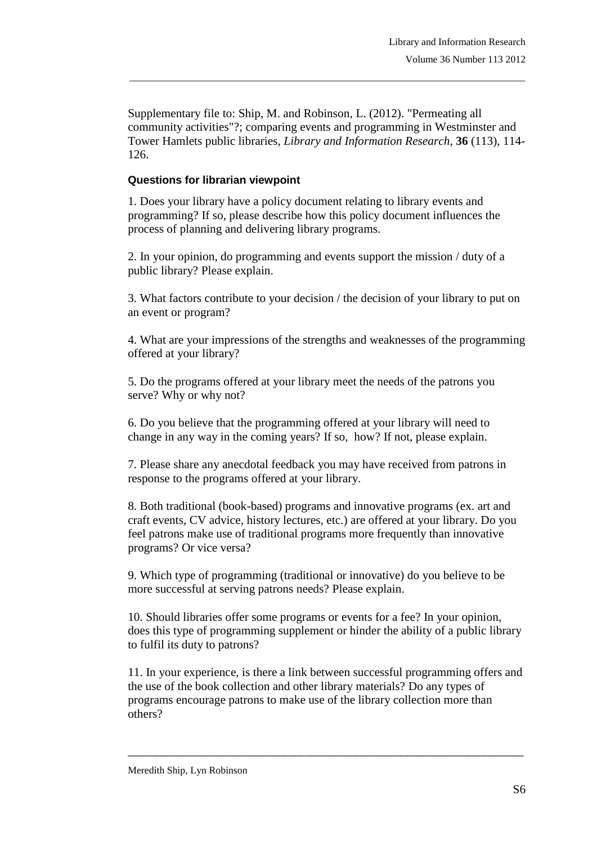Supplementary file to: Ship, M. and Robinson, L. (2012). "Permeating all community activities"?; comparing events and programming in Westminster and Tower Hamlets public libraries, *Library and Information Research*, **36** (113), 114- 126.

\_\_\_\_\_\_\_\_\_\_\_\_\_\_\_\_\_\_\_\_\_\_\_\_\_\_\_\_\_\_\_\_\_\_\_\_\_\_\_\_\_\_\_\_\_\_\_\_\_\_\_\_\_\_\_\_\_\_\_\_\_\_\_\_\_\_\_\_\_\_\_\_\_\_\_\_\_\_\_

## **Questions for librarian viewpoint**

1. Does your library have a policy document relating to library events and programming? If so, please describe how this policy document influences the process of planning and delivering library programs.

2. In your opinion, do programming and events support the mission / duty of a public library? Please explain.

3. What factors contribute to your decision / the decision of your library to put on an event or program?

4. What are your impressions of the strengths and weaknesses of the programming offered at your library?

5. Do the programs offered at your library meet the needs of the patrons you serve? Why or why not?

6. Do you believe that the programming offered at your library will need to change in any way in the coming years? If so, how? If not, please explain.

7. Please share any anecdotal feedback you may have received from patrons in response to the programs offered at your library.

8. Both traditional (book-based) programs and innovative programs (ex. art and craft events, CV advice, history lectures, etc.) are offered at your library. Do you feel patrons make use of traditional programs more frequently than innovative programs? Or vice versa?

9. Which type of programming (traditional or innovative) do you believe to be more successful at serving patrons needs? Please explain.

10. Should libraries offer some programs or events for a fee? In your opinion, does this type of programming supplement or hinder the ability of a public library to fulfil its duty to patrons?

11. In your experience, is there a link between successful programming offers and the use of the book collection and other library materials? Do any types of programs encourage patrons to make use of the library collection more than others?

\_\_\_\_\_\_\_\_\_\_\_\_\_\_\_\_\_\_\_\_\_\_\_\_\_\_\_\_\_\_\_\_\_\_\_\_\_\_\_\_\_\_\_\_\_\_\_\_\_\_\_\_\_\_\_\_\_\_\_\_\_\_\_\_\_\_\_\_\_\_\_